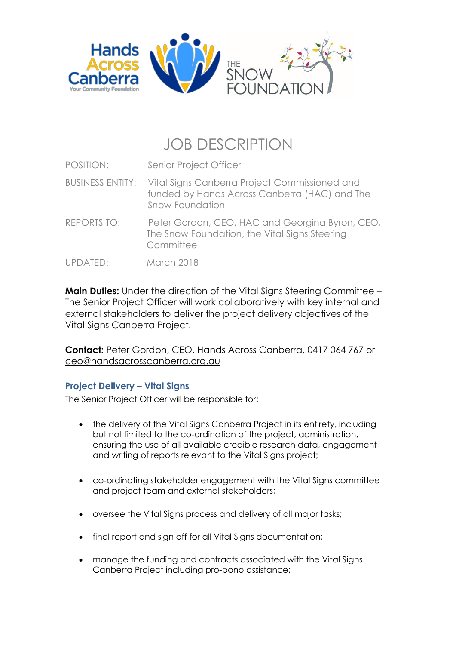

# JOB DESCRIPTION

| POSITION: | Senior Project Officer |
|-----------|------------------------|
|           |                        |

- BUSINESS ENTITY: Vital Signs Canberra Project Commissioned and funded by Hands Across Canberra (HAC) and The Snow Foundation
- REPORTS TO: Peter Gordon, CEO, HAC and Georgina Byron, CEO, The Snow Foundation, the Vital Signs Steering **Committee**
- UPDATED: March 2018

**Main Duties:** Under the direction of the Vital Signs Steering Committee – The Senior Project Officer will work collaboratively with key internal and external stakeholders to deliver the project delivery objectives of the Vital Signs Canberra Project.

**Contact:** Peter Gordon, CEO, Hands Across Canberra, 0417 064 767 or [ceo@handsacrosscanberra.org.au](mailto:ceo@handsacrosscanberra.org.au)

## **Project Delivery – Vital Signs**

The Senior Project Officer will be responsible for:

- the delivery of the Vital Signs Canberra Project in its entirety, including but not limited to the co-ordination of the project, administration, ensuring the use of all available credible research data, engagement and writing of reports relevant to the Vital Signs project;
- co-ordinating stakeholder engagement with the Vital Signs committee and project team and external stakeholders;
- oversee the Vital Signs process and delivery of all major tasks;
- final report and sign off for all Vital Signs documentation;
- manage the funding and contracts associated with the Vital Signs Canberra Project including pro-bono assistance;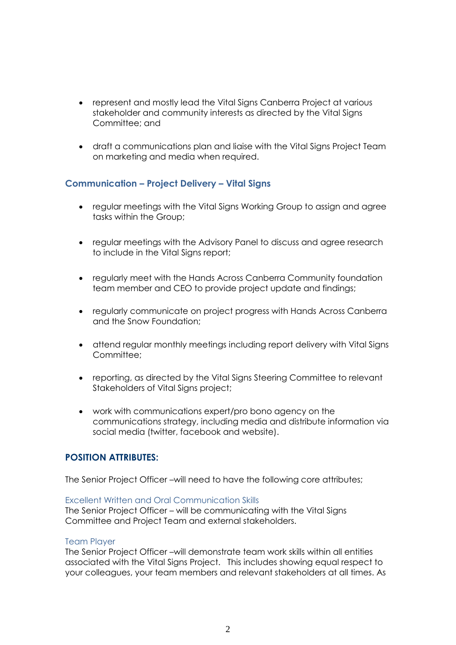- represent and mostly lead the Vital Signs Canberra Project at various stakeholder and community interests as directed by the Vital Signs Committee; and
- draft a communications plan and liaise with the Vital Signs Project Team on marketing and media when required.

## **Communication – Project Delivery – Vital Signs**

- regular meetings with the Vital Signs Working Group to assign and agree tasks within the Group;
- regular meetings with the Advisory Panel to discuss and agree research to include in the Vital Signs report;
- regularly meet with the Hands Across Canberra Community foundation team member and CEO to provide project update and findings;
- regularly communicate on project progress with Hands Across Canberra and the Snow Foundation;
- attend regular monthly meetings including report delivery with Vital Signs Committee;
- reporting, as directed by the Vital Signs Steering Committee to relevant Stakeholders of Vital Signs project;
- work with communications expert/pro bono agency on the communications strategy, including media and distribute information via social media (twitter, facebook and website).

## **POSITION ATTRIBUTES:**

The Senior Project Officer –will need to have the following core attributes;

#### Excellent Written and Oral Communication Skills

The Senior Project Officer – will be communicating with the Vital Signs Committee and Project Team and external stakeholders.

#### Team Player

The Senior Project Officer –will demonstrate team work skills within all entities associated with the Vital Signs Project. This includes showing equal respect to your colleagues, your team members and relevant stakeholders at all times. As